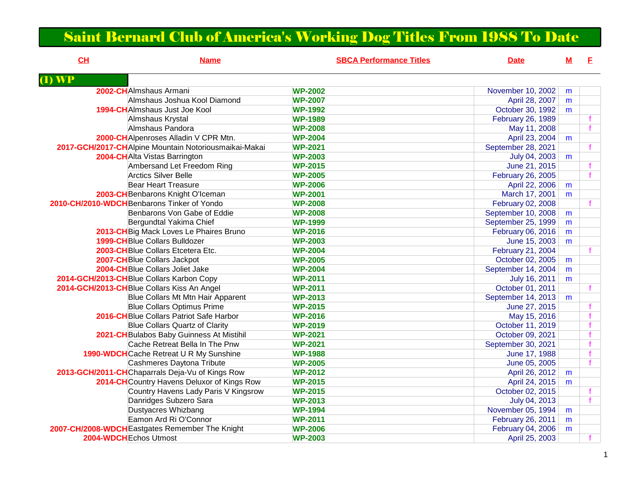## Saint Bernard Club of America's Working Dog Titles From 1988 To Date

| CL                | <b>Name</b>                                           | <b>SBCA Performance Titles</b> | <b>Date</b>        | M | E.           |
|-------------------|-------------------------------------------------------|--------------------------------|--------------------|---|--------------|
| $\mathbf{I}$ ) WP |                                                       |                                |                    |   |              |
|                   | 2002-CHAlmshaus Armani                                | <b>WP-2002</b>                 | November 10, 2002  | m |              |
|                   | Almshaus Joshua Kool Diamond                          | <b>WP-2007</b>                 | April 28, 2007     | m |              |
|                   | 1994-CHAImshaus Just Joe Kool                         | <b>WP-1992</b>                 | October 30, 1992   | m |              |
|                   | Almshaus Krystal                                      | <b>WP-1989</b>                 | February 26, 1989  |   |              |
|                   | Almshaus Pandora                                      | <b>WP-2008</b>                 | May 11, 2008       |   | $\mathbf{f}$ |
|                   | 2000-CHAIpenroses Alladin V CPR Mtn.                  | <b>WP-2004</b>                 | April 23, 2004     | m |              |
|                   | 2017-GCH/2017-CHAlpine Mountain Notoriousmaikai-Makai | <b>WP-2021</b>                 | September 28, 2021 |   |              |
|                   | 2004-CHAlta Vistas Barrington                         | <b>WP-2003</b>                 | July 04, 2003      | m |              |
|                   | Ambersand Let Freedom Ring                            | <b>WP-2015</b>                 | June 21, 2015      |   |              |
|                   | <b>Arctics Silver Belle</b>                           | <b>WP-2005</b>                 | February 26, 2005  |   |              |
|                   | <b>Bear Heart Treasure</b>                            | <b>WP-2006</b>                 | April 22, 2006     | m |              |
|                   | 2003-CH Benbarons Knight O'Iceman                     | <b>WP-2001</b>                 | March 17, 2001     | m |              |
|                   | 2010-CH/2010-WDCH Benbarons Tinker of Yondo           | <b>WP-2008</b>                 | February 02, 2008  |   |              |
|                   | Benbarons Von Gabe of Eddie                           | <b>WP-2008</b>                 | September 10, 2008 | m |              |
|                   | Bergundtal Yakima Chief                               | <b>WP-1999</b>                 | September 25, 1999 | m |              |
|                   | 2013-CH Big Mack Loves Le Phaires Bruno               | <b>WP-2016</b>                 | February 06, 2016  | m |              |
|                   | <b>1999-CH</b> Blue Collars Bulldozer                 | <b>WP-2003</b>                 | June 15, 2003      | m |              |
|                   | 2003-CHBlue Collars Etcetera Etc.                     | <b>WP-2004</b>                 | February 21, 2004  |   |              |
|                   | 2007-CH Blue Collars Jackpot                          | <b>WP-2005</b>                 | October 02, 2005   | m |              |
|                   | 2004-CH Blue Collars Joliet Jake                      | <b>WP-2004</b>                 | September 14, 2004 | m |              |
|                   | 2014-GCH/2013-CH Blue Collars Karbon Copy             | <b>WP-2011</b>                 | July 16, 2011      | m |              |
|                   | 2014-GCH/2013-CHBlue Collars Kiss An Angel            | <b>WP-2011</b>                 | October 01, 2011   |   | f            |
|                   | Blue Collars Mt Mtn Hair Apparent                     | <b>WP-2013</b>                 | September 14, 2013 | m |              |
|                   | <b>Blue Collars Optimus Prime</b>                     | <b>WP-2015</b>                 | June 27, 2015      |   |              |
|                   | 2016-CH Blue Collars Patriot Safe Harbor              | <b>WP-2016</b>                 | May 15, 2016       |   |              |
|                   | <b>Blue Collars Quartz of Clarity</b>                 | <b>WP-2019</b>                 | October 11, 2019   |   |              |
|                   | 2021-CH Bulabos Baby Guinness At Mistihil             | <b>WP-2021</b>                 | October 09, 2021   |   |              |
|                   | Cache Retreat Bella In The Pnw                        | <b>WP-2021</b>                 | September 30, 2021 |   |              |
|                   | 1990-WDCHCache Retreat U R My Sunshine                | <b>WP-1988</b>                 | June 17, 1988      |   | f            |
|                   | Cashmeres Daytona Tribute                             | <b>WP-2005</b>                 | June 05, 2005      |   |              |
|                   | 2013-GCH/2011-CHChaparrals Deja-Vu of Kings Row       | <b>WP-2012</b>                 | April 26, 2012     | m |              |
|                   | 2014-CH Country Havens Deluxor of Kings Row           | <b>WP-2015</b>                 | April 24, 2015     | m |              |
|                   | Country Havens Lady Paris V Kingsrow                  | <b>WP-2015</b>                 | October 02, 2015   |   |              |
|                   | Danridges Subzero Sara                                | <b>WP-2013</b>                 | July 04, 2013      |   |              |
|                   | <b>Dustyacres Whizbang</b>                            | <b>WP-1994</b>                 | November 05, 1994  | m |              |
|                   | Eamon Ard Ri O'Connor                                 | <b>WP-2011</b>                 | February 26, 2011  | m |              |
|                   | 2007-CH/2008-WDCH Eastgates Remember The Knight       | <b>WP-2006</b>                 | February 04, 2006  | m |              |
|                   | 2004-WDCHEchos Utmost                                 | <b>WP-2003</b>                 | April 25, 2003     |   |              |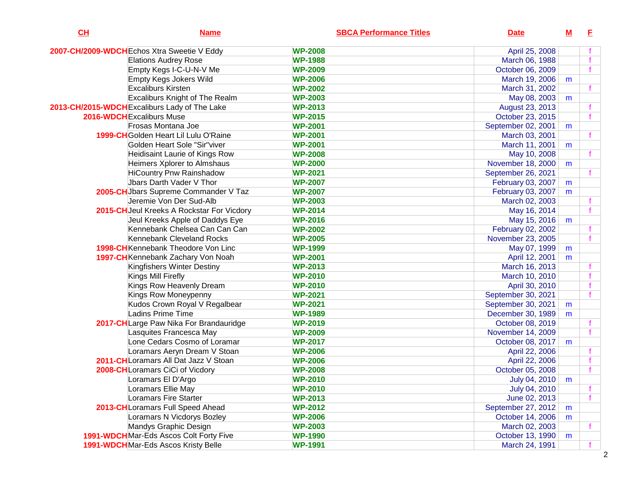| CL | <b>Name</b>                                   |                | <b>SBCA Performance Titles</b> | <b>Date</b>        | ${\bf M}$ | E |
|----|-----------------------------------------------|----------------|--------------------------------|--------------------|-----------|---|
|    | 2007-CH/2009-WDCH Echos Xtra Sweetie V Eddy   | <b>WP-2008</b> |                                | April 25, 2008     |           |   |
|    | <b>Elations Audrey Rose</b>                   | <b>WP-1988</b> |                                | March 06, 1988     |           |   |
|    | Empty Kegs I-C-U-N-V Me                       | <b>WP-2009</b> |                                | October 06, 2009   |           |   |
|    | Empty Kegs Jokers Wild                        | <b>WP-2006</b> |                                | March 19, 2006     | m         |   |
|    | Excaliburs Kirsten                            | <b>WP-2002</b> |                                | March 31, 2002     |           |   |
|    | <b>Excaliburs Knight of The Realm</b>         | <b>WP-2003</b> |                                | May 08, 2003       | m         |   |
|    | 2013-CH/2015-WDCH Excaliburs Lady of The Lake | <b>WP-2013</b> |                                | August 23, 2013    |           |   |
|    | 2016-WDCH Excaliburs Muse                     | <b>WP-2015</b> |                                | October 23, 2015   |           |   |
|    | Frosas Montana Joe                            | <b>WP-2001</b> |                                | September 02, 2001 | m         |   |
|    | 1999-CHGolden Heart Lil Lulu O'Raine          | <b>WP-2001</b> |                                | March 03, 2001     |           |   |
|    | Golden Heart Sole "Sir"viver                  | <b>WP-2001</b> |                                | March 11, 2001     | m         |   |
|    | Heidisaint Laurie of Kings Row                | <b>WP-2008</b> |                                | May 10, 2008       |           |   |
|    | Heimers Xplorer to Almshaus                   | <b>WP-2000</b> |                                | November 18, 2000  | m         |   |
|    | <b>HiCountry Pnw Rainshadow</b>               | <b>WP-2021</b> |                                | September 26, 2021 |           |   |
|    | Jbars Darth Vader V Thor                      | <b>WP-2007</b> |                                | February 03, 2007  | m         |   |
|    | 2005-CH Jbars Supreme Commander V Taz         | <b>WP-2007</b> |                                | February 03, 2007  | m         |   |
|    | Jeremie Von Der Sud-Alb                       | <b>WP-2003</b> |                                | March 02, 2003     |           |   |
|    | 2015-CH Jeul Kreeks A Rockstar For Vicdory    | <b>WP-2014</b> |                                | May 16, 2014       |           |   |
|    | Jeul Kreeks Apple of Daddys Eye               | <b>WP-2016</b> |                                | May 15, 2016       | m         |   |
|    | Kennebank Chelsea Can Can Can                 | <b>WP-2002</b> |                                | February 02, 2002  |           |   |
|    | Kennebank Cleveland Rocks                     | <b>WP-2005</b> |                                | November 23, 2005  |           |   |
|    | 1998-CH Kennebank Theodore Von Linc           | <b>WP-1999</b> |                                | May 07, 1999       | m         |   |
|    | 1997-CH Kennebank Zachary Von Noah            | <b>WP-2001</b> |                                | April 12, 2001     | m         |   |
|    | Kingfishers Winter Destiny                    | <b>WP-2013</b> |                                | March 16, 2013     |           |   |
|    | Kings Mill Firefly                            | <b>WP-2010</b> |                                | March 10, 2010     |           |   |
|    | Kings Row Heavenly Dream                      | <b>WP-2010</b> |                                | April 30, 2010     |           |   |
|    | Kings Row Moneypenny                          | <b>WP-2021</b> |                                | September 30, 2021 |           |   |
|    | Kudos Crown Royal V Regalbear                 | <b>WP-2021</b> |                                | September 30, 2021 | m         |   |
|    | Ladins Prime Time                             | <b>WP-1989</b> |                                | December 30, 1989  | m         |   |
|    | 2017-CHLarge Paw Nika For Brandauridge        | <b>WP-2019</b> |                                | October 08, 2019   |           |   |
|    | Lasquites Francesca May                       | <b>WP-2009</b> |                                | November 14, 2009  |           |   |
|    | Lone Cedars Cosmo of Loramar                  | <b>WP-2017</b> |                                | October 08, 2017   | m         |   |
|    | Loramars Aeryn Dream V Stoan                  | <b>WP-2006</b> |                                | April 22, 2006     |           |   |
|    | 2011-CH Loramars All Dat Jazz V Stoan         | <b>WP-2006</b> |                                | April 22, 2006     |           |   |
|    | 2008-CHLoramars CiCi of Vicdory               | <b>WP-2008</b> |                                | October 05, 2008   |           |   |
|    | Loramars El D'Argo                            | <b>WP-2010</b> |                                | July 04, 2010      | m         |   |
|    | Loramars Ellie May                            | <b>WP-2010</b> |                                | July 04, 2010      |           |   |
|    | Loramars Fire Starter                         | <b>WP-2013</b> |                                | June 02, 2013      |           |   |
|    | 2013-CH Loramars Full Speed Ahead             | <b>WP-2012</b> |                                | September 27, 2012 | m         |   |
|    | Loramars N Vicdorys Bozley                    | <b>WP-2006</b> |                                | October 14, 2006   | m         |   |
|    | Mandys Graphic Design                         | <b>WP-2003</b> |                                | March 02, 2003     |           |   |
|    | 1991-WDCHMar-Eds Ascos Colt Forty Five        | <b>WP-1990</b> |                                | October 13, 1990   | m         |   |
|    | 1991-WDCHMar-Eds Ascos Kristy Belle           | <b>WP-1991</b> |                                | March 24, 1991     |           |   |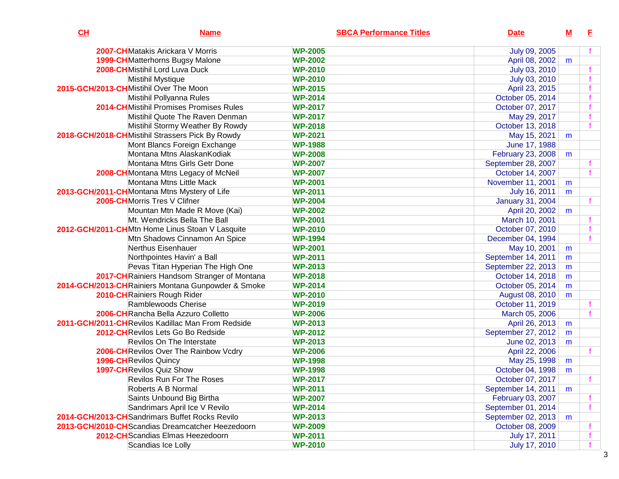| CH | <b>Name</b>                                        | <b>SBCA Performance Titles</b> | <b>Date</b>             | <u>M</u> | E |
|----|----------------------------------------------------|--------------------------------|-------------------------|----------|---|
|    | 2007-CHMatakis Arickara V Morris                   | <b>WP-2005</b>                 | July 09, 2005           |          |   |
|    | <b>1999-CH</b> Matterhorns Bugsy Malone            | <b>WP-2002</b>                 | April 08, 2002          | m        |   |
|    | 2008-CHMistihil Lord Luva Duck                     | <b>WP-2010</b>                 | July 03, 2010           |          |   |
|    | <b>Mistihil Mystique</b>                           | <b>WP-2010</b>                 | July 03, 2010           |          |   |
|    | 2015-GCH/2013-CHMistihil Over The Moon             | <b>WP-2015</b>                 | April 23, 2015          |          |   |
|    | Mistihil Pollyanna Rules                           | <b>WP-2014</b>                 | October 05, 2014        |          |   |
|    | <b>2014-CH</b> Mistihil Promises Promises Rules    | <b>WP-2017</b>                 | October 07, 2017        |          |   |
|    | Mistihil Quote The Raven Denman                    | <b>WP-2017</b>                 | May 29, 2017            |          |   |
|    | Mistihil Stormy Weather By Rowdy                   | <b>WP-2018</b>                 | October 13, 2018        |          |   |
|    | 2018-GCH/2018-CHMistihil Strassers Pick By Rowdy   | <b>WP-2021</b>                 | May 15, 2021            | m        |   |
|    | Mont Blancs Foreign Exchange                       | <b>WP-1988</b>                 | June 17, 1988           |          |   |
|    | Montana Mtns AlaskanKodiak                         | <b>WP-2008</b>                 | February 23, 2008       | m        |   |
|    | Montana Mtns Girls Getr Done                       | <b>WP-2007</b>                 | September 28, 2007      |          |   |
|    | 2008-CH Montana Mtns Legacy of McNeil              | <b>WP-2007</b>                 | October 14, 2007        |          |   |
|    | Montana Mtns Little Mack                           | <b>WP-2001</b>                 | November 11, 2001       | m        |   |
|    | 2013-GCH/2011-CHMontana Mtns Mystery of Life       | <b>WP-2011</b>                 | July 16, 2011           | m        |   |
|    | 2005-CHMorris Tres V Clifner                       | <b>WP-2004</b>                 | <b>January 31, 2004</b> |          |   |
|    | Mountan Mtn Made R Move (Kai)                      | <b>WP-2002</b>                 | April 20, 2002          | m        |   |
|    | Mt. Wendricks Bella The Ball                       | <b>WP-2001</b>                 | March 10, 2001          |          |   |
|    | 2012-GCH/2011-CHMtn Home Linus Stoan V Lasquite    | <b>WP-2010</b>                 | October 07, 2010        |          |   |
|    | Mtn Shadows Cinnamon An Spice                      | <b>WP-1994</b>                 | December 04, 1994       |          |   |
|    | Nerthus Eisenhauer                                 | <b>WP-2001</b>                 | May 10, 2001            | m        |   |
|    | Northpointes Havin' a Ball                         | <b>WP-2011</b>                 | September 14, 2011      | m        |   |
|    | Pevas Titan Hyperian The High One                  | <b>WP-2013</b>                 | September 22, 2013      | m        |   |
|    | 2017-CH Rainiers Handsom Stranger of Montana       | <b>WP-2018</b>                 | October 14, 2018        | m        |   |
|    | 2014-GCH/2013-CHRainiers Montana Gunpowder & Smoke | <b>WP-2014</b>                 | October 05, 2014        | m        |   |
|    | 2010-CH Rainiers Rough Rider                       | <b>WP-2010</b>                 | August 08, 2010         | m        |   |
|    | Ramblewoods Cherise                                | <b>WP-2019</b>                 | October 11, 2019        |          |   |
|    | 2006-CH Rancha Bella Azzuro Colletto               | <b>WP-2006</b>                 | March 05, 2006          |          |   |
|    | 2011-GCH/2011-CHRevilos Kadillac Man From Redside  | <b>WP-2013</b>                 | April 26, 2013          | m        |   |
|    | 2012-CHRevilos Lets Go Bo Redside                  | <b>WP-2012</b>                 | September 27, 2012      | m        |   |
|    | <b>Revilos On The Interstate</b>                   | <b>WP-2013</b>                 | June 02, 2013           | m        |   |
|    | 2006-CH Revilos Over The Rainbow Vcdry             | <b>WP-2006</b>                 | April 22, 2006          |          |   |
|    | <b>1996-CH</b> Revilos Quincy                      | <b>WP-1998</b>                 | May 25, 1998            | m        |   |
|    | <b>1997-CH</b> Revilos Quiz Show                   | <b>WP-1998</b>                 | October 04, 1998        | m        |   |
|    | <b>Revilos Run For The Roses</b>                   | <b>WP-2017</b>                 | October 07, 2017        |          |   |
|    | Roberts A B Normal                                 | <b>WP-2011</b>                 | September 14, 2011      | m        |   |
|    | Saints Unbound Big Birtha                          | <b>WP-2007</b>                 | February 03, 2007       |          |   |
|    | Sandrimars April Ice V Revilo                      | <b>WP-2014</b>                 | September 01, 2014      |          |   |
|    | 2014-GCH/2013-CH Sandrimars Buffet Rocks Revilo    | <b>WP-2013</b>                 | September 02, 2013      | m        |   |
|    | 2013-GCH/2010-CH Scandias Dreamcatcher Heezedoorn  | <b>WP-2009</b>                 | October 08, 2009        |          |   |
|    | 2012-CHScandias Elmas Heezedoorn                   | <b>WP-2011</b>                 | July 17, 2011           |          |   |
|    | Scandias Ice Lolly                                 | <b>WP-2010</b>                 | July 17, 2010           |          |   |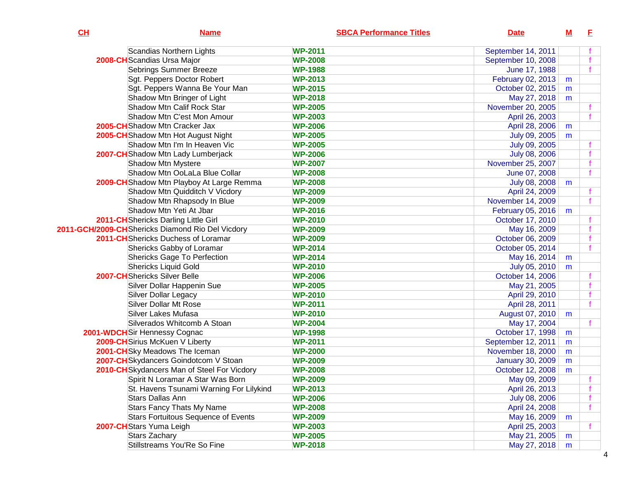| CH | <b>Name</b>                                      | <b>SBCA Performance Titles</b> | <b>Date</b>             | M | E. |
|----|--------------------------------------------------|--------------------------------|-------------------------|---|----|
|    | Scandias Northern Lights                         | <b>WP-2011</b>                 | September 14, 2011      |   |    |
|    | 2008-CH Scandias Ursa Major                      | <b>WP-2008</b>                 | September 10, 2008      |   |    |
|    | <b>Sebrings Summer Breeze</b>                    | <b>WP-1988</b>                 | June 17, 1988           |   |    |
|    | Sgt. Peppers Doctor Robert                       | <b>WP-2013</b>                 | February 02, 2013       | m |    |
|    | Sgt. Peppers Wanna Be Your Man                   | <b>WP-2015</b>                 | October 02, 2015        | m |    |
|    | Shadow Mtn Bringer of Light                      | <b>WP-2018</b>                 | May 27, 2018            | m |    |
|    | Shadow Mtn Calif Rock Star                       | <b>WP-2005</b>                 | November 20, 2005       |   |    |
|    | Shadow Mtn C'est Mon Amour                       | <b>WP-2003</b>                 | April 26, 2003          |   |    |
|    | 2005-CH Shadow Mtn Cracker Jax                   | <b>WP-2006</b>                 | April 28, 2006          | m |    |
|    | 2005-CH Shadow Mtn Hot August Night              | <b>WP-2005</b>                 | July 09, 2005           | m |    |
|    | Shadow Mtn I'm In Heaven Vic                     | <b>WP-2005</b>                 | July 09, 2005           |   |    |
|    | 2007-CHShadow Mtn Lady Lumberjack                | <b>WP-2006</b>                 | July 08, 2006           |   |    |
|    | Shadow Mtn Mystere                               | <b>WP-2007</b>                 | November 25, 2007       |   |    |
|    | Shadow Mtn OoLaLa Blue Collar                    | <b>WP-2008</b>                 | June 07, 2008           |   |    |
|    | 2009-CH Shadow Mtn Playboy At Large Remma        | <b>WP-2008</b>                 | July 08, 2008           | m |    |
|    | Shadow Mtn Quidditch V Vicdory                   | <b>WP-2009</b>                 | April 24, 2009          |   |    |
|    | Shadow Mtn Rhapsody In Blue                      | <b>WP-2009</b>                 | November 14, 2009       |   |    |
|    | Shadow Mtn Yeti At Jbar                          | <b>WP-2016</b>                 | February 05, 2016       | m |    |
|    | 2011-CH Shericks Darling Little Girl             | <b>WP-2010</b>                 | October 17, 2010        |   |    |
|    | 2011-GCH/2009-CHShericks Diamond Rio Del Vicdory | <b>WP-2009</b>                 | May 16, 2009            |   |    |
|    | 2011-CH Shericks Duchess of Loramar              | <b>WP-2009</b>                 | October 06, 2009        |   |    |
|    | Shericks Gabby of Loramar                        | <b>WP-2014</b>                 | October 05, 2014        |   |    |
|    | <b>Shericks Gage To Perfection</b>               | <b>WP-2014</b>                 | May 16, 2014            | m |    |
|    | <b>Shericks Liquid Gold</b>                      | <b>WP-2010</b>                 | July 05, 2010           | m |    |
|    | <b>2007-CH</b> Shericks Silver Belle             | <b>WP-2006</b>                 | October 14, 2006        |   |    |
|    | Silver Dollar Happenin Sue                       | <b>WP-2005</b>                 | May 21, 2005            |   |    |
|    | <b>Silver Dollar Legacy</b>                      | <b>WP-2010</b>                 | April 29, 2010          |   |    |
|    | <b>Silver Dollar Mt Rose</b>                     | <b>WP-2011</b>                 | April 28, 2011          |   |    |
|    | Silver Lakes Mufasa                              | <b>WP-2010</b>                 | August 07, 2010         | m |    |
|    | Silverados Whitcomb A Stoan                      | <b>WP-2004</b>                 | May 17, 2004            |   |    |
|    | 2001-WDCH Sir Hennessy Cognac                    | <b>WP-1998</b>                 | October 17, 1998        | m |    |
|    | 2009-CHSirius McKuen V Liberty                   | <b>WP-2011</b>                 | September 12, 2011      | m |    |
|    | 2001-CHSky Meadows The Iceman                    | <b>WP-2000</b>                 | November 18, 2000       | m |    |
|    | 2007-CH Skydancers Goindotcom V Stoan            | <b>WP-2009</b>                 | <b>January 30, 2009</b> | m |    |
|    | 2010-CH Skydancers Man of Steel For Vicdory      | <b>WP-2008</b>                 | October 12, 2008        | m |    |
|    | Spirit N Loramar A Star Was Born                 | <b>WP-2009</b>                 | May 09, 2009            |   |    |
|    | St. Havens Tsunami Warning For Lilykind          | <b>WP-2013</b>                 | April 26, 2013          |   |    |
|    | Stars Dallas Ann                                 | <b>WP-2006</b>                 | July 08, 2006           |   |    |
|    | <b>Stars Fancy Thats My Name</b>                 | <b>WP-2008</b>                 | April 24, 2008          |   |    |
|    | <b>Stars Fortuitous Sequence of Events</b>       | <b>WP-2009</b>                 | May 16, 2009            | m |    |
|    | 2007-CHStars Yuma Leigh                          | <b>WP-2003</b>                 | April 25, 2003          |   |    |
|    | Stars Zachary                                    | <b>WP-2005</b>                 | May 21, 2005            | m |    |
|    | Stillstreams You'Re So Fine                      | <b>WP-2018</b>                 | May 27, 2018            | m |    |
|    |                                                  |                                |                         |   |    |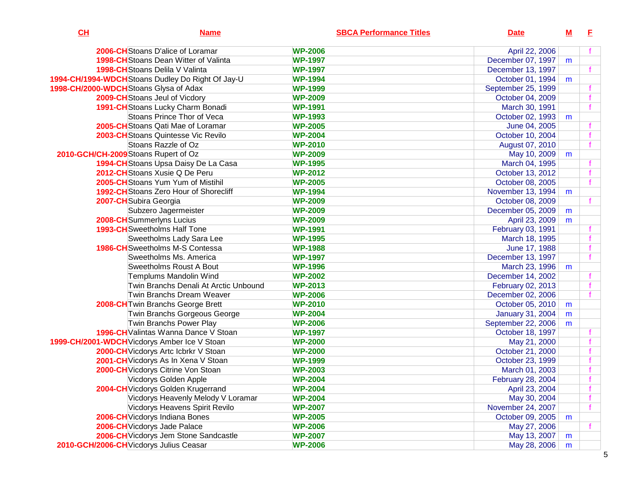| CL | <b>Name</b>                                                         | <b>SBCA Performance Titles</b>   | <b>Date</b>        | M | E. |
|----|---------------------------------------------------------------------|----------------------------------|--------------------|---|----|
|    | 2006-CHStoans D'alice of Loramar                                    | <b>WP-2006</b>                   | April 22, 2006     |   |    |
|    | <b>1998-CH</b> Stoans Dean Witter of Valinta                        | <b>WP-1997</b>                   | December 07, 1997  | m |    |
|    | <b>1998-CH</b> Stoans Delila V Valinta                              | <b>WP-1997</b>                   | December 13, 1997  |   |    |
|    | 1994-CH/1994-WDCH Stoans Dudley Do Right Of Jay-U                   | <b>WP-1994</b>                   | October 01, 1994   | m |    |
|    | 1998-CH/2000-WDCHStoans Glysa of Adax                               | <b>WP-1999</b>                   | September 25, 1999 |   |    |
|    | 2009-CH Stoans Jeul of Vicdory                                      | <b>WP-2009</b>                   | October 04, 2009   |   |    |
|    | 1991-CH Stoans Lucky Charm Bonadi                                   | <b>WP-1991</b>                   | March 30, 1991     |   |    |
|    | Stoans Prince Thor of Veca                                          | <b>WP-1993</b>                   | October 02, 1993   | m |    |
|    | 2005-CH Stoans Qati Mae of Loramar                                  | <b>WP-2005</b>                   | June 04, 2005      |   |    |
|    | <b>2003-CH</b> Stoans Quintesse Vic Revilo                          | <b>WP-2004</b>                   |                    |   |    |
|    | Stoans Razzle of Oz                                                 | <b>WP-2010</b>                   | October 10, 2004   |   |    |
|    | 2010-GCH/CH-2009 Stoans Rupert of Oz                                |                                  | August 07, 2010    |   |    |
|    |                                                                     | <b>WP-2009</b><br><b>WP-1995</b> | May 10, 2009       | m |    |
|    | 1994-CH Stoans Upsa Daisy De La Casa                                |                                  | March 04, 1995     |   |    |
|    | 2012-CH Stoans Xusie Q De Peru<br>2005-CHStoans Yum Yum of Mistihil | <b>WP-2012</b>                   | October 13, 2012   |   |    |
|    |                                                                     | <b>WP-2005</b>                   | October 08, 2005   |   |    |
|    | <b>1992-CH</b> Stoans Zero Hour of Shorecliff                       | <b>WP-1994</b>                   | November 13, 1994  | m |    |
|    | 2007-CH Subira Georgia                                              | <b>WP-2009</b>                   | October 08, 2009   |   |    |
|    | Subzero Jagermeister                                                | <b>WP-2009</b>                   | December 05, 2009  | m |    |
|    | 2008-CHSummerlyns Lucius                                            | <b>WP-2009</b>                   | April 23, 2009     | m |    |
|    | 1993-CH Sweetholms Half Tone                                        | <b>WP-1991</b>                   | February 03, 1991  |   |    |
|    | <b>Sweetholms Lady Sara Lee</b>                                     | <b>WP-1995</b>                   | March 18, 1995     |   |    |
|    | <b>1986-CH</b> Sweetholms M-S Contessa                              | <b>WP-1988</b>                   | June 17, 1988      |   |    |
|    | Sweetholms Ms. America                                              | <b>WP-1997</b>                   | December 13, 1997  |   |    |
|    | Sweetholms Roust A Bout                                             | <b>WP-1996</b>                   | March 23, 1996     | m |    |
|    | Templums Mandolin Wind                                              | <b>WP-2002</b>                   | December 14, 2002  |   |    |
|    | Twin Branchs Denali At Arctic Unbound                               | <b>WP-2013</b>                   | February 02, 2013  |   |    |
|    | Twin Branchs Dream Weaver                                           | <b>WP-2006</b>                   | December 02, 2006  |   |    |
|    | 2008-CH Twin Branchs George Brett                                   | <b>WP-2010</b>                   | October 05, 2010   | m |    |
|    | Twin Branchs Gorgeous George                                        | <b>WP-2004</b>                   | January 31, 2004   | m |    |
|    | Twin Branchs Power Play                                             | <b>WP-2006</b>                   | September 22, 2006 | m |    |
|    | 1996-CH Valintas Wanna Dance V Stoan                                | <b>WP-1997</b>                   | October 18, 1997   |   |    |
|    | 1999-CH/2001-WDCH Vicdorys Amber Ice V Stoan                        | <b>WP-2000</b>                   | May 21, 2000       |   |    |
|    | 2000-CH Vicdorys Artc Icbrkr V Stoan                                | <b>WP-2000</b>                   | October 21, 2000   |   |    |
|    | 2001-CH Vicdorys As In Xena V Stoan                                 | <b>WP-1999</b>                   | October 23, 1999   |   |    |
|    | 2000-CH Vicdorys Citrine Von Stoan                                  | <b>WP-2003</b>                   | March 01, 2003     |   |    |
|    | Vicdorys Golden Apple                                               | <b>WP-2004</b>                   | February 28, 2004  |   |    |
|    | 2004-CH Vicdorys Golden Krugerrand                                  | <b>WP-2004</b>                   | April 23, 2004     |   |    |
|    | Vicdorys Heavenly Melody V Loramar                                  | <b>WP-2004</b>                   | May 30, 2004       |   |    |
|    | Vicdorys Heavens Spirit Revilo                                      | <b>WP-2007</b>                   | November 24, 2007  |   |    |
|    | 2006-CH Vicdorys Indiana Bones                                      | <b>WP-2005</b>                   | October 09, 2005   | m |    |
|    | 2006-CH Vicdorys Jade Palace                                        | <b>WP-2006</b>                   | May 27, 2006       |   |    |
|    | 2006-CH Vicdorys Jem Stone Sandcastle                               | <b>WP-2007</b>                   | May 13, 2007       | m |    |
|    | 2010-GCH/2006-CH Vicdorys Julius Ceasar                             | <b>WP-2006</b>                   | May 28, 2006       | m |    |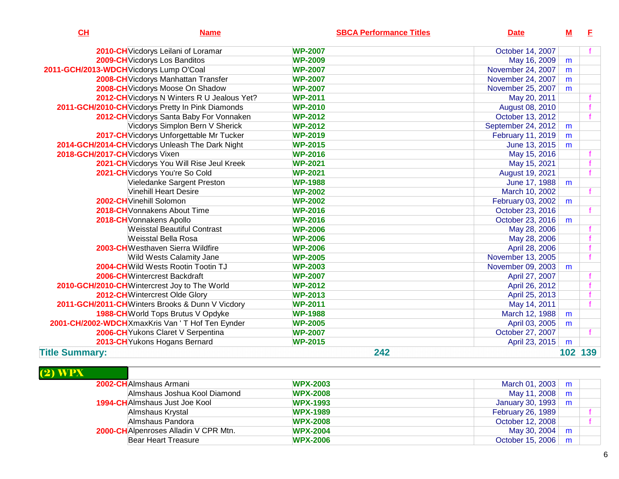| CL                                      | <b>Name</b>                                       | <b>SBCA Performance Titles</b> | <b>Date</b>        | M                | E   |
|-----------------------------------------|---------------------------------------------------|--------------------------------|--------------------|------------------|-----|
|                                         | 2010-CH Vicdorys Leilani of Loramar               | <b>WP-2007</b>                 | October 14, 2007   |                  |     |
|                                         | 2009-CH Vicdorys Los Banditos                     | <b>WP-2009</b>                 | May 16, 2009       | m                |     |
| 2011-GCH/2013-WDCH Vicdorys Lump O'Coal |                                                   | <b>WP-2007</b>                 | November 24, 2007  | m                |     |
|                                         | 2008-CH Vicdorys Manhattan Transfer               | <b>WP-2007</b>                 | November 24, 2007  | m                |     |
|                                         | 2008-CH Vicdorys Moose On Shadow                  | <b>WP-2007</b>                 | November 25, 2007  | m                |     |
|                                         | 2012-CH Vicdorys N Winters R U Jealous Yet?       | <b>WP-2011</b>                 | May 20, 2011       |                  |     |
|                                         | 2011-GCH/2010-CH Vicdorys Pretty In Pink Diamonds | <b>WP-2010</b>                 | August 08, 2010    |                  |     |
|                                         | 2012-CH Vicdorys Santa Baby For Vonnaken          | <b>WP-2012</b>                 | October 13, 2012   |                  |     |
|                                         | Vicdorys Simplon Bern V Sherick                   | <b>WP-2012</b>                 | September 24, 2012 | m                |     |
|                                         | 2017-CH Vicdorys Unforgettable Mr Tucker          | <b>WP-2019</b>                 | February 11, 2019  | m                |     |
|                                         | 2014-GCH/2014-CH Vicdorys Unleash The Dark Night  | <b>WP-2015</b>                 | June 13, 2015      | m                |     |
| 2018-GCH/2017-CH Vicdorys Vixen         |                                                   | <b>WP-2016</b>                 | May 15, 2016       |                  |     |
|                                         | 2021-CH Vicdorys You Will Rise Jeul Kreek         | <b>WP-2021</b>                 | May 15, 2021       |                  |     |
|                                         | 2021-CH Vicdorys You're So Cold                   | <b>WP-2021</b>                 | August 19, 2021    |                  |     |
|                                         | Vieledanke Sargent Preston                        | <b>WP-1988</b>                 | June 17, 1988      | m                |     |
|                                         | <b>Vinehill Heart Desire</b>                      | <b>WP-2002</b>                 | March 10, 2002     |                  |     |
|                                         | 2002-CH Vinehill Solomon                          | <b>WP-2002</b>                 | February 03, 2002  | m                |     |
|                                         | 2018-CH Vonnakens About Time                      | <b>WP-2016</b>                 | October 23, 2016   |                  |     |
|                                         | 2018-CH Vonnakens Apollo                          | <b>WP-2016</b>                 | October 23, 2016   | m                |     |
|                                         | <b>Weisstal Beautiful Contrast</b>                | <b>WP-2006</b>                 | May 28, 2006       |                  |     |
|                                         | Weisstal Bella Rosa                               | <b>WP-2006</b>                 | May 28, 2006       |                  |     |
|                                         | 2003-CHWesthaven Sierra Wildfire                  | <b>WP-2006</b>                 | April 28, 2006     |                  |     |
|                                         | <b>Wild Wests Calamity Jane</b>                   | <b>WP-2005</b>                 | November 13, 2005  |                  |     |
|                                         | 2004-CH Wild Wests Rootin Tootin TJ               | <b>WP-2003</b>                 | November 09, 2003  | m                |     |
|                                         | 2006-CHWintercrest Backdraft                      | <b>WP-2007</b>                 | April 27, 2007     |                  |     |
|                                         | 2010-GCH/2010-CH Wintercrest Joy to The World     | <b>WP-2012</b>                 | April 26, 2012     |                  |     |
|                                         | 2012-CH Wintercrest Olde Glory                    | <b>WP-2013</b>                 | April 25, 2013     |                  |     |
|                                         | 2011-GCH/2011-CHWinters Brooks & Dunn V Vicdory   | <b>WP-2011</b>                 | May 14, 2011       |                  |     |
|                                         | 1988-CH World Tops Brutus V Opdyke                | <b>WP-1988</b>                 | March 12, 1988     | m                |     |
|                                         | 2001-CH/2002-WDCHXmaxKris Van ' T Hof Ten Eynder  | <b>WP-2005</b>                 | April 03, 2005     | m                |     |
|                                         | 2006-CH Yukons Claret V Serpentina                | <b>WP-2007</b>                 | October 27, 2007   |                  |     |
|                                         | 2013-CH Yukons Hogans Bernard                     | <b>WP-2015</b>                 | April 23, 2015     | m                |     |
| <b>Title Summary:</b>                   |                                                   | 242                            |                    | 102 <sub>1</sub> | 139 |

| 2002-CHAImshaus Armani                       | <b>WPX-2003</b> | March 01, 2003 $\mid m \mid$      |   |  |
|----------------------------------------------|-----------------|-----------------------------------|---|--|
| Almshaus Joshua Kool Diamond                 | <b>WPX-2008</b> | May 11, 2008                      | m |  |
| <b>1994-CH</b> Almshaus Just Joe Kool        | <b>WPX-1993</b> | January 30, 1993 $\mid m \rangle$ |   |  |
| Almshaus Krystal                             | <b>WPX-1989</b> | February 26, 1989                 |   |  |
| Almshaus Pandora                             | <b>WPX-2008</b> | October 12, 2008                  |   |  |
| <b>2000-CH</b> Alpenroses Alladin V CPR Mtn. | <b>WPX-2004</b> | May 30, 2004                      | m |  |
| Bear Heart Treasure                          | <b>WPX-2006</b> | October 15, 2006   m              |   |  |
|                                              |                 |                                   |   |  |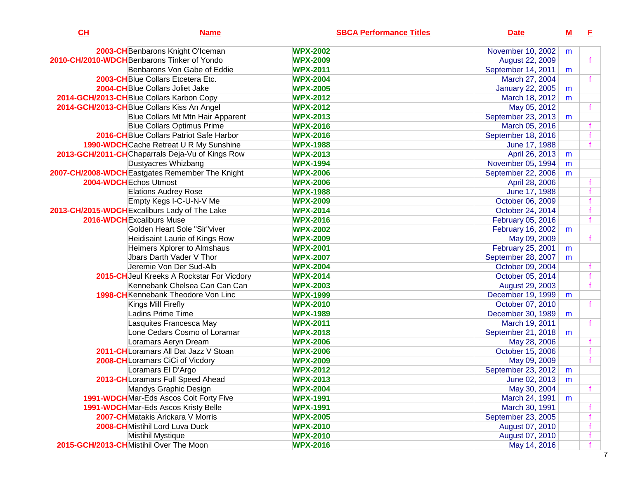| CL | <b>Name</b>                                     | <b>SBCA Performance Titles</b> | <b>Date</b>             | M | E  |
|----|-------------------------------------------------|--------------------------------|-------------------------|---|----|
|    | 2003-CH Benbarons Knight O'Iceman               | <b>WPX-2002</b>                | November 10, 2002       | m |    |
|    | 2010-CH/2010-WDCH Benbarons Tinker of Yondo     | <b>WPX-2009</b>                | August 22, 2009         |   |    |
|    | Benbarons Von Gabe of Eddie                     | <b>WPX-2011</b>                | September 14, 2011      | m |    |
|    | 2003-CHBlue Collars Etcetera Etc.               | <b>WPX-2004</b>                | March 27, 2004          |   |    |
|    | 2004-CH Blue Collars Joliet Jake                | <b>WPX-2005</b>                | <b>January 22, 2005</b> | m |    |
|    | 2014-GCH/2013-CH Blue Collars Karbon Copy       | <b>WPX-2012</b>                | March 18, 2012          | m |    |
|    | 2014-GCH/2013-CH Blue Collars Kiss An Angel     | <b>WPX-2012</b>                | May 05, 2012            |   |    |
|    | Blue Collars Mt Mtn Hair Apparent               | <b>WPX-2013</b>                | September 23, 2013      | m |    |
|    | <b>Blue Collars Optimus Prime</b>               | <b>WPX-2016</b>                | March 05, 2016          |   |    |
|    | 2016-CHBlue Collars Patriot Safe Harbor         | <b>WPX-2016</b>                | September 18, 2016      |   |    |
|    | 1990-WDCH Cache Retreat U R My Sunshine         | <b>WPX-1988</b>                | June 17, 1988           |   |    |
|    | 2013-GCH/2011-CHChaparrals Deja-Vu of Kings Row | <b>WPX-2013</b>                | April 26, 2013          | m |    |
|    | Dustyacres Whizbang                             | <b>WPX-1994</b>                | November 05, 1994       | m |    |
|    | 2007-CH/2008-WDCH Eastgates Remember The Knight | <b>WPX-2006</b>                | September 22, 2006      | m |    |
|    | 2004-WDCH Echos Utmost                          | <b>WPX-2006</b>                | April 28, 2006          |   |    |
|    | <b>Elations Audrey Rose</b>                     | <b>WPX-1988</b>                | June 17, 1988           |   |    |
|    | Empty Kegs I-C-U-N-V Me                         | <b>WPX-2009</b>                | October 06, 2009        |   |    |
|    | 2013-CH/2015-WDCH Excaliburs Lady of The Lake   | <b>WPX-2014</b>                | October 24, 2014        |   |    |
|    | 2016-WDCH Excaliburs Muse                       | <b>WPX-2016</b>                | February 05, 2016       |   |    |
|    | Golden Heart Sole "Sir"viver                    | <b>WPX-2002</b>                | February 16, 2002       | m |    |
|    | Heidisaint Laurie of Kings Row                  | <b>WPX-2009</b>                | May 09, 2009            |   |    |
|    | Heimers Xplorer to Almshaus                     | <b>WPX-2001</b>                | February 25, 2001       | m |    |
|    | Jbars Darth Vader V Thor                        | <b>WPX-2007</b>                | September 28, 2007      | m |    |
|    | Jeremie Von Der Sud-Alb                         | <b>WPX-2004</b>                | October 09, 2004        |   |    |
|    | 2015-CH Jeul Kreeks A Rockstar For Vicdory      | <b>WPX-2014</b>                | October 05, 2014        |   |    |
|    | Kennebank Chelsea Can Can Can                   | <b>WPX-2003</b>                | August 29, 2003         |   |    |
|    | 1998-CH Kennebank Theodore Von Linc             | <b>WPX-1999</b>                | December 19, 1999       | m |    |
|    | Kings Mill Firefly                              | <b>WPX-2010</b>                | October 07, 2010        |   |    |
|    | Ladins Prime Time                               | <b>WPX-1989</b>                | December 30, 1989       | m |    |
|    | Lasquites Francesca May                         | <b>WPX-2011</b>                | March 19, 2011          |   |    |
|    | Lone Cedars Cosmo of Loramar                    | <b>WPX-2018</b>                | September 21, 2018      | m |    |
|    | Loramars Aeryn Dream                            | <b>WPX-2006</b>                | May 28, 2006            |   |    |
|    | 2011-CHLoramars All Dat Jazz V Stoan            | <b>WPX-2006</b>                | October 15, 2006        |   |    |
|    | 2008-CHLoramars CiCi of Vicdory                 | <b>WPX-2009</b>                | May 09, 2009            |   |    |
|    | Loramars El D'Argo                              | <b>WPX-2012</b>                | September 23, 2012      | m |    |
|    | 2013-CH Loramars Full Speed Ahead               | <b>WPX-2013</b>                | June 02, 2013           | m |    |
|    | Mandys Graphic Design                           | <b>WPX-2004</b>                | May 30, 2004            |   | f. |
|    | 1991-WDCHMar-Eds Ascos Colt Forty Five          | <b>WPX-1991</b>                | March 24, 1991          | m |    |
|    | 1991-WDCH Mar-Eds Ascos Kristy Belle            | <b>WPX-1991</b>                | March 30, 1991          |   |    |
|    | <b>2007-CH</b> Matakis Arickara V Morris        | <b>WPX-2005</b>                | September 23, 2005      |   |    |
|    | 2008-CHMistihil Lord Luva Duck                  | <b>WPX-2010</b>                | August 07, 2010         |   |    |
|    | <b>Mistihil Mystique</b>                        | <b>WPX-2010</b>                | August 07, 2010         |   |    |
|    | 2015-GCH/2013-CHMistihil Over The Moon          | <b>WPX-2016</b>                | May 14, 2016            |   |    |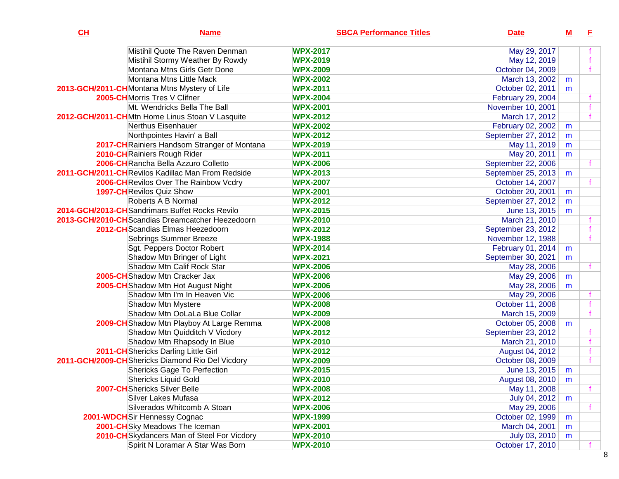| CH | <b>Name</b>                                       |                 | <b>SBCA Performance Titles</b> | <b>Date</b>        | $\underline{\mathsf{M}}$ | E |
|----|---------------------------------------------------|-----------------|--------------------------------|--------------------|--------------------------|---|
|    | Mistihil Quote The Raven Denman                   | <b>WPX-2017</b> |                                | May 29, 2017       |                          |   |
|    | Mistihil Stormy Weather By Rowdy                  | <b>WPX-2019</b> |                                | May 12, 2019       |                          |   |
|    | Montana Mtns Girls Getr Done                      | <b>WPX-2009</b> |                                | October 04, 2009   |                          |   |
|    | Montana Mtns Little Mack                          | <b>WPX-2002</b> |                                | March 13, 2002     | m                        |   |
|    | 2013-GCH/2011-CHMontana Mtns Mystery of Life      | <b>WPX-2011</b> |                                | October 02, 2011   | m                        |   |
|    | 2005-CHMorris Tres V Clifner                      | <b>WPX-2004</b> |                                | February 29, 2004  |                          |   |
|    | Mt. Wendricks Bella The Ball                      | <b>WPX-2001</b> |                                | November 10, 2001  |                          |   |
|    | 2012-GCH/2011-CHMtn Home Linus Stoan V Lasquite   | <b>WPX-2012</b> |                                | March 17, 2012     |                          |   |
|    | Nerthus Eisenhauer                                | <b>WPX-2002</b> |                                | February 02, 2002  | m                        |   |
|    | Northpointes Havin' a Ball                        | <b>WPX-2012</b> |                                | September 27, 2012 | m                        |   |
|    | 2017-CH Rainiers Handsom Stranger of Montana      | <b>WPX-2019</b> |                                | May 11, 2019       | m                        |   |
|    | 2010-CHRainiers Rough Rider                       | <b>WPX-2011</b> |                                | May 20, 2011       | m                        |   |
|    | 2006-CHRancha Bella Azzuro Colletto               | <b>WPX-2006</b> |                                | September 22, 2006 |                          |   |
|    | 2011-GCH/2011-CHRevilos Kadillac Man From Redside | <b>WPX-2013</b> |                                | September 25, 2013 | m                        |   |
|    | 2006-CH Revilos Over The Rainbow Vcdry            | <b>WPX-2007</b> |                                | October 14, 2007   |                          |   |
|    | <b>1997-CH</b> Revilos Quiz Show                  | <b>WPX-2001</b> |                                | October 20, 2001   | m                        |   |
|    | Roberts A B Normal                                | <b>WPX-2012</b> |                                | September 27, 2012 | m                        |   |
|    | 2014-GCH/2013-CHSandrimars Buffet Rocks Revilo    | <b>WPX-2015</b> |                                | June 13, 2015      | m                        |   |
|    | 2013-GCH/2010-CH Scandias Dreamcatcher Heezedoorn | <b>WPX-2010</b> |                                | March 21, 2010     |                          |   |
|    | 2012-CH Scandias Elmas Heezedoorn                 | <b>WPX-2012</b> |                                | September 23, 2012 |                          |   |
|    | Sebrings Summer Breeze                            | <b>WPX-1988</b> |                                | November 12, 1988  |                          |   |
|    | Sgt. Peppers Doctor Robert                        | <b>WPX-2014</b> |                                | February 01, 2014  | m                        |   |
|    | Shadow Mtn Bringer of Light                       | <b>WPX-2021</b> |                                | September 30, 2021 | m                        |   |
|    | Shadow Mtn Calif Rock Star                        | <b>WPX-2006</b> |                                | May 28, 2006       |                          |   |
|    | 2005-CH Shadow Mtn Cracker Jax                    | <b>WPX-2006</b> |                                | May 29, 2006       | m                        |   |
|    | 2005-CH Shadow Mtn Hot August Night               | <b>WPX-2006</b> |                                | May 28, 2006       | m                        |   |
|    | Shadow Mtn I'm In Heaven Vic                      | <b>WPX-2006</b> |                                | May 29, 2006       |                          |   |
|    | Shadow Mtn Mystere                                | <b>WPX-2008</b> |                                | October 11, 2008   |                          |   |
|    | Shadow Mtn OoLaLa Blue Collar                     | <b>WPX-2009</b> |                                | March 15, 2009     |                          |   |
|    | 2009-CH Shadow Mtn Playboy At Large Remma         | <b>WPX-2008</b> |                                | October 05, 2008   | m                        |   |
|    | Shadow Mtn Quidditch V Vicdory                    | <b>WPX-2012</b> |                                | September 23, 2012 |                          |   |
|    | Shadow Mtn Rhapsody In Blue                       | <b>WPX-2010</b> |                                | March 21, 2010     |                          |   |
|    | 2011-CH Shericks Darling Little Girl              | <b>WPX-2012</b> |                                | August 04, 2012    |                          |   |
|    | 2011-GCH/2009-CHShericks Diamond Rio Del Vicdory  | <b>WPX-2009</b> |                                | October 08, 2009   |                          |   |
|    | <b>Shericks Gage To Perfection</b>                | <b>WPX-2015</b> |                                | June 13, 2015      | m                        |   |
|    | <b>Shericks Liquid Gold</b>                       | <b>WPX-2010</b> |                                | August 08, 2010    | m                        |   |
|    | <b>2007-CH</b> Shericks Silver Belle              | <b>WPX-2008</b> |                                | May 11, 2008       |                          |   |
|    | <b>Silver Lakes Mufasa</b>                        | <b>WPX-2012</b> |                                | July 04, 2012      | m                        |   |
|    | Silverados Whitcomb A Stoan                       | <b>WPX-2006</b> |                                | May 29, 2006       |                          |   |
|    | 2001-WDCHSir Hennessy Cognac                      | <b>WPX-1999</b> |                                | October 02, 1999   | m                        |   |
|    | 2001-CHSky Meadows The Iceman                     | <b>WPX-2001</b> |                                | March 04, 2001     | m                        |   |
|    | 2010-CHSkydancers Man of Steel For Vicdory        | <b>WPX-2010</b> |                                | July 03, 2010      | m                        |   |
|    | Spirit N Loramar A Star Was Born                  | <b>WPX-2010</b> |                                | October 17, 2010   |                          |   |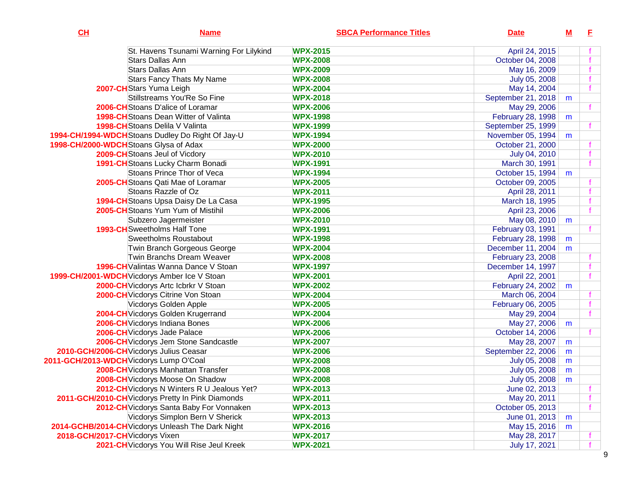| CL                              | <b>Name</b>                                       | <b>SBCA Performance Titles</b> | <b>Date</b>        | <u>M</u> | E            |
|---------------------------------|---------------------------------------------------|--------------------------------|--------------------|----------|--------------|
|                                 | St. Havens Tsunami Warning For Lilykind           | <b>WPX-2015</b>                | April 24, 2015     |          |              |
|                                 | Stars Dallas Ann                                  | <b>WPX-2008</b>                | October 04, 2008   |          |              |
|                                 | <b>Stars Dallas Ann</b>                           | <b>WPX-2009</b>                | May 16, 2009       |          |              |
|                                 | <b>Stars Fancy Thats My Name</b>                  | <b>WPX-2008</b>                | July 05, 2008      |          |              |
|                                 | 2007-CHStars Yuma Leigh                           | <b>WPX-2004</b>                | May 14, 2004       |          | $\mathbf{f}$ |
|                                 | Stillstreams You'Re So Fine                       | <b>WPX-2018</b>                | September 21, 2018 | m        |              |
|                                 | 2006-CH Stoans D'alice of Loramar                 | <b>WPX-2006</b>                | May 29, 2006       |          |              |
|                                 | <b>1998-CH</b> Stoans Dean Witter of Valinta      | <b>WPX-1998</b>                | February 28, 1998  | m        |              |
|                                 | 1998-CH Stoans Delila V Valinta                   | <b>WPX-1999</b>                | September 25, 1999 |          |              |
|                                 | 1994-CH/1994-WDCH Stoans Dudley Do Right Of Jay-U | <b>WPX-1994</b>                | November 05, 1994  | m        |              |
|                                 | 1998-CH/2000-WDCHStoans Glysa of Adax             | <b>WPX-2000</b>                | October 21, 2000   |          |              |
|                                 | 2009-CH Stoans Jeul of Vicdory                    | <b>WPX-2010</b>                | July 04, 2010      |          |              |
|                                 | 1991-CH Stoans Lucky Charm Bonadi                 | <b>WPX-1991</b>                | March 30, 1991     |          |              |
|                                 | Stoans Prince Thor of Veca                        | <b>WPX-1994</b>                | October 15, 1994   | m        |              |
|                                 | <b>2005-CH</b> Stoans Qati Mae of Loramar         | <b>WPX-2005</b>                | October 09, 2005   |          |              |
|                                 | Stoans Razzle of Oz                               | <b>WPX-2011</b>                | April 28, 2011     |          |              |
|                                 | 1994-CH Stoans Upsa Daisy De La Casa              | <b>WPX-1995</b>                | March 18, 1995     |          |              |
|                                 | 2005-CH Stoans Yum Yum of Mistihil                | <b>WPX-2006</b>                | April 23, 2006     |          |              |
|                                 | Subzero Jagermeister                              | <b>WPX-2010</b>                | May 08, 2010       | m        |              |
|                                 | <b>1993-CH</b> Sweetholms Half Tone               | <b>WPX-1991</b>                | February 03, 1991  |          |              |
|                                 | <b>Sweetholms Roustabout</b>                      | <b>WPX-1998</b>                | February 28, 1998  | m        |              |
|                                 | Twin Branch Gorgeous George                       | <b>WPX-2004</b>                | December 11, 2004  | m        |              |
|                                 | Twin Branchs Dream Weaver                         | <b>WPX-2008</b>                | February 23, 2008  |          |              |
|                                 | 1996-CH Valintas Wanna Dance V Stoan              | <b>WPX-1997</b>                | December 14, 1997  |          |              |
|                                 | 1999-CH/2001-WDCH Vicdorys Amber Ice V Stoan      | <b>WPX-2001</b>                | April 22, 2001     |          |              |
|                                 | 2000-CH Vicdorys Artc Icbrkr V Stoan              | <b>WPX-2002</b>                | February 24, 2002  | m        |              |
|                                 | 2000-CH Vicdorys Citrine Von Stoan                | <b>WPX-2004</b>                | March 06, 2004     |          |              |
|                                 | Vicdorys Golden Apple                             | <b>WPX-2005</b>                | February 06, 2005  |          |              |
|                                 | 2004-CH Vicdorys Golden Krugerrand                | <b>WPX-2004</b>                | May 29, 2004       |          |              |
|                                 | 2006-CH Vicdorys Indiana Bones                    | <b>WPX-2006</b>                | May 27, 2006       | m        |              |
|                                 | 2006-CH Vicdorys Jade Palace                      | <b>WPX-2006</b>                | October 14, 2006   |          |              |
|                                 | 2006-CH Vicdorys Jem Stone Sandcastle             | <b>WPX-2007</b>                | May 28, 2007       | m        |              |
|                                 | 2010-GCH/2006-CH Vicdorys Julius Ceasar           | <b>WPX-2006</b>                | September 22, 2006 | m        |              |
|                                 | 2011-GCH/2013-WDCH Vicdorys Lump O'Coal           | <b>WPX-2008</b>                | July 05, 2008      | m        |              |
|                                 | 2008-CH Vicdorys Manhattan Transfer               | <b>WPX-2008</b>                | July 05, 2008      | m        |              |
|                                 | <b>2008-CH</b> Vicdorys Moose On Shadow           | <b>WPX-2008</b>                | July 05, 2008      | m        |              |
|                                 | 2012-CH Vicdorys N Winters R U Jealous Yet?       | <b>WPX-2013</b>                | June 02, 2013      |          |              |
|                                 | 2011-GCH/2010-CH Vicdorys Pretty In Pink Diamonds | <b>WPX-2011</b>                | May 20, 2011       |          |              |
|                                 | 2012-CH Vicdorys Santa Baby For Vonnaken          | <b>WPX-2013</b>                | October 05, 2013   |          | f            |
|                                 | Vicdorys Simplon Bern V Sherick                   | <b>WPX-2013</b>                | June 01, 2013      | m        |              |
|                                 | 2014-GCHB/2014-CH Vicdorys Unleash The Dark Night | <b>WPX-2016</b>                | May 15, 2016       | m        |              |
| 2018-GCH/2017-CH Vicdorys Vixen |                                                   | <b>WPX-2017</b>                | May 28, 2017       |          |              |
|                                 | 2021-CH Vicdorys You Will Rise Jeul Kreek         | <b>WPX-2021</b>                | July 17, 2021      |          |              |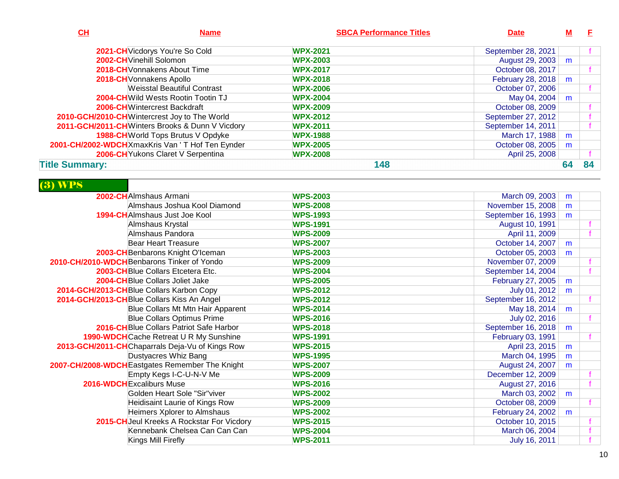| $CH$                  | <b>Name</b>                                      | <b>SBCA Performance Titles</b> | <b>Date</b>        |    | -F. |
|-----------------------|--------------------------------------------------|--------------------------------|--------------------|----|-----|
|                       | 2021-CH Vicdorys You're So Cold                  | <b>WPX-2021</b>                | September 28, 2021 |    |     |
|                       | 2002-CH Vinehill Solomon                         | <b>WPX-2003</b>                | August 29, 2003    | m  |     |
|                       | 2018-CH Vonnakens About Time                     | <b>WPX-2017</b>                | October 08, 2017   |    |     |
|                       | 2018-CH Vonnakens Apollo                         | <b>WPX-2018</b>                | February 28, 2018  | m  |     |
|                       | <b>Weisstal Beautiful Contrast</b>               | <b>WPX-2006</b>                | October 07, 2006   |    |     |
|                       | <b>2004-CH</b> Wild Wests Rootin Tootin TJ       | <b>WPX-2004</b>                | May 04, 2004       | m  |     |
|                       | <b>2006-CH</b> Wintercrest Backdraft             | <b>WPX-2009</b>                | October 08, 2009   |    |     |
|                       | 2010-GCH/2010-CHWintercrest Joy to The World     | <b>WPX-2012</b>                | September 27, 2012 |    |     |
|                       | 2011-GCH/2011-CH Winters Brooks & Dunn V Vicdory | <b>WPX-2011</b>                | September 14, 2011 |    |     |
|                       | 1988-CH World Tops Brutus V Opdyke               | <b>WPX-1988</b>                | March 17, 1988     | m  |     |
|                       | 2001-CH/2002-WDCH XmaxKris Van 'T Hof Ten Eynder | <b>WPX-2005</b>                | October 08, 2005   | m  |     |
|                       | 2006-CH Yukons Claret V Serpentina               | <b>WPX-2008</b>                | April 25, 2008     |    |     |
| <b>Title Summary:</b> |                                                  | 148                            |                    | 64 | 84  |

## (3) WPS

| 2002-CHAImshaus Armani                          | <b>WPS-2003</b> | March 09, 2003     | m |  |
|-------------------------------------------------|-----------------|--------------------|---|--|
| Almshaus Joshua Kool Diamond                    | <b>WPS-2008</b> | November 15, 2008  | m |  |
| 1994-CHAImshaus Just Joe Kool                   | <b>WPS-1993</b> | September 16, 1993 | m |  |
| Almshaus Krystal                                | <b>WPS-1991</b> | August 10, 1991    |   |  |
| Almshaus Pandora                                | <b>WPS-2009</b> | April 11, 2009     |   |  |
| <b>Bear Heart Treasure</b>                      | <b>WPS-2007</b> | October 14, 2007   | m |  |
| 2003-CH Benbarons Knight O'Iceman               | <b>WPS-2003</b> | October 05, 2003   | m |  |
| 2010-CH/2010-WDCH Benbarons Tinker of Yondo     | <b>WPS-2009</b> | November 07, 2009  |   |  |
| 2003-CHBlue Collars Etcetera Etc.               | <b>WPS-2004</b> | September 14, 2004 |   |  |
| 2004-CH Blue Collars Joliet Jake                | <b>WPS-2005</b> | February 27, 2005  | m |  |
| 2014-GCH/2013-CH Blue Collars Karbon Copy       | <b>WPS-2012</b> | July 01, 2012      | m |  |
| 2014-GCH/2013-CH Blue Collars Kiss An Angel     | <b>WPS-2012</b> | September 16, 2012 |   |  |
| Blue Collars Mt Mtn Hair Apparent               | <b>WPS-2014</b> | May 18, 2014       | m |  |
| <b>Blue Collars Optimus Prime</b>               | <b>WPS-2016</b> | July 02, 2016      |   |  |
| 2016-CHBlue Collars Patriot Safe Harbor         | <b>WPS-2018</b> | September 16, 2018 | m |  |
| 1990-WDCH Cache Retreat U R My Sunshine         | <b>WPS-1991</b> | February 03, 1991  |   |  |
| 2013-GCH/2011-CHChaparrals Deja-Vu of Kings Row | <b>WPS-2015</b> | April 23, 2015     | m |  |
| Dustyacres Whiz Bang                            | <b>WPS-1995</b> | March 04, 1995     | m |  |
| 2007-CH/2008-WDCH Eastgates Remember The Knight | <b>WPS-2007</b> | August 24, 2007    | m |  |
| Empty Kegs I-C-U-N-V Me                         | <b>WPS-2009</b> | December 12, 2009  |   |  |
| 2016-WDCH Excaliburs Muse                       | <b>WPS-2016</b> | August 27, 2016    |   |  |
| Golden Heart Sole "Sir"viver                    | <b>WPS-2002</b> | March 03, 2002     | m |  |
| Heidisaint Laurie of Kings Row                  | <b>WPS-2009</b> | October 08, 2009   |   |  |
| Heimers Xplorer to Almshaus                     | <b>WPS-2002</b> | February 24, 2002  | m |  |
| 2015-CH Jeul Kreeks A Rockstar For Vicdory      | <b>WPS-2015</b> | October 10, 2015   |   |  |
| Kennebank Chelsea Can Can Can                   | <b>WPS-2004</b> | March 06, 2004     |   |  |
| Kings Mill Firefly                              | <b>WPS-2011</b> | July 16, 2011      |   |  |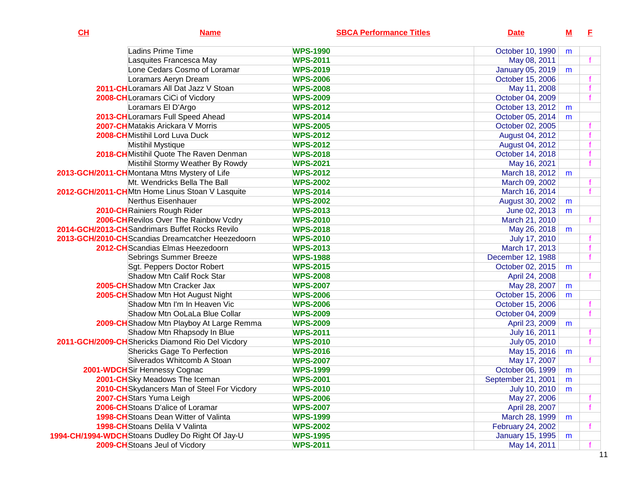| CL | <b>Name</b>                                       | <b>SBCA Performance Titles</b> | <b>Date</b>             | <u>M</u> | E            |
|----|---------------------------------------------------|--------------------------------|-------------------------|----------|--------------|
|    | Ladins Prime Time                                 | <b>WPS-1990</b>                | October 10, 1990        | m        |              |
|    | Lasquites Francesca May                           | <b>WPS-2011</b>                | May 08, 2011            |          |              |
|    | Lone Cedars Cosmo of Loramar                      | <b>WPS-2019</b>                | <b>January 05, 2019</b> | m        |              |
|    | Loramars Aeryn Dream                              | <b>WPS-2006</b>                | October 15, 2006        |          |              |
|    | 2011-CH Loramars All Dat Jazz V Stoan             | <b>WPS-2008</b>                | May 11, 2008            |          | $\mathbf f$  |
|    | 2008-CHLoramars CiCi of Vicdory                   | <b>WPS-2009</b>                | October 04, 2009        |          | $\mathbf f$  |
|    | Loramars El D'Argo                                | <b>WPS-2012</b>                | October 13, 2012        | m        |              |
|    | 2013-CHLoramars Full Speed Ahead                  | <b>WPS-2014</b>                | October 05, 2014        | m        |              |
|    | 2007-CHMatakis Arickara V Morris                  | <b>WPS-2005</b>                | October 02, 2005        |          |              |
|    | 2008-CHMistihil Lord Luva Duck                    | <b>WPS-2012</b>                | August 04, 2012         |          | $\mathbf f$  |
|    | Mistihil Mystique                                 | <b>WPS-2012</b>                | August 04, 2012         |          |              |
|    | 2018-CH Mistihil Quote The Raven Denman           | <b>WPS-2018</b>                | October 14, 2018        |          | f            |
|    | Mistihil Stormy Weather By Rowdy                  | <b>WPS-2021</b>                | May 16, 2021            |          | $\mathbf{f}$ |
|    | 2013-GCH/2011-CHMontana Mtns Mystery of Life      | <b>WPS-2012</b>                | March 18, 2012          | m        |              |
|    | Mt. Wendricks Bella The Ball                      | <b>WPS-2002</b>                | March 09, 2002          |          |              |
|    | 2012-GCH/2011-CHMtn Home Linus Stoan V Lasquite   | <b>WPS-2014</b>                | March 16, 2014          |          | $\mathbf f$  |
|    | Nerthus Eisenhauer                                | <b>WPS-2002</b>                | August 30, 2002         | m        |              |
|    | 2010-CH Rainiers Rough Rider                      | <b>WPS-2013</b>                | June 02, 2013           | m        |              |
|    | 2006-CH Revilos Over The Rainbow Vcdry            | <b>WPS-2010</b>                | March 21, 2010          |          |              |
|    | 2014-GCH/2013-CH Sandrimars Buffet Rocks Revilo   | <b>WPS-2018</b>                | May 26, 2018            | m        |              |
|    | 2013-GCH/2010-CHScandias Dreamcatcher Heezedoorn  | <b>WPS-2010</b>                | July 17, 2010           |          |              |
|    | 2012-CHScandias Elmas Heezedoorn                  | <b>WPS-2013</b>                | March 17, 2013          |          | f            |
|    | Sebrings Summer Breeze                            | <b>WPS-1988</b>                | December 12, 1988       |          | $\mathbf f$  |
|    | Sgt. Peppers Doctor Robert                        | <b>WPS-2015</b>                | October 02, 2015        | m        |              |
|    | <b>Shadow Mtn Calif Rock Star</b>                 | <b>WPS-2008</b>                | April 24, 2008          |          | f.           |
|    | 2005-CH Shadow Mtn Cracker Jax                    | <b>WPS-2007</b>                | May 28, 2007            | m        |              |
|    | 2005-CH Shadow Mtn Hot August Night               | <b>WPS-2006</b>                | October 15, 2006        | m        |              |
|    | Shadow Mtn I'm In Heaven Vic                      | <b>WPS-2006</b>                | October 15, 2006        |          |              |
|    | Shadow Mtn OoLaLa Blue Collar                     | <b>WPS-2009</b>                | October 04, 2009        |          | $\mathbf f$  |
|    | 2009-CH Shadow Mtn Playboy At Large Remma         | <b>WPS-2009</b>                | April 23, 2009          | m        |              |
|    | Shadow Mtn Rhapsody In Blue                       | <b>WPS-2011</b>                | July 16, 2011           |          | f            |
|    | 2011-GCH/2009-CH Shericks Diamond Rio Del Vicdory | <b>WPS-2010</b>                | July 05, 2010           |          | $\mathbf f$  |
|    | <b>Shericks Gage To Perfection</b>                | <b>WPS-2016</b>                | May 15, 2016            | m        |              |
|    | Silverados Whitcomb A Stoan                       | <b>WPS-2007</b>                | May 17, 2007            |          |              |
|    | 2001-WDCHSir Hennessy Cognac                      | <b>WPS-1999</b>                | October 06, 1999        | m        |              |
|    | 2001-CHSky Meadows The Iceman                     | <b>WPS-2001</b>                | September 21, 2001      | m        |              |
|    | 2010-CH Skydancers Man of Steel For Vicdory       | <b>WPS-2010</b>                | July 10, 2010           | m        |              |
|    | 2007-CH Stars Yuma Leigh                          | <b>WPS-2006</b>                | May 27, 2006            |          |              |
|    | 2006-CHStoans D'alice of Loramar                  | <b>WPS-2007</b>                | April 28, 2007          |          | f.           |
|    | <b>1998-CH</b> Stoans Dean Witter of Valinta      | <b>WPS-1999</b>                | March 28, 1999          | m        |              |
|    | 1998-CHStoans Delila V Valinta                    | <b>WPS-2002</b>                | February 24, 2002       |          | Ť.           |
|    | 1994-CH/1994-WDCH Stoans Dudley Do Right Of Jay-U | <b>WPS-1995</b>                | January 15, 1995        | m        |              |
|    | 2009-CH Stoans Jeul of Vicdory                    | <b>WPS-2011</b>                | May 14, 2011            |          |              |

 $11$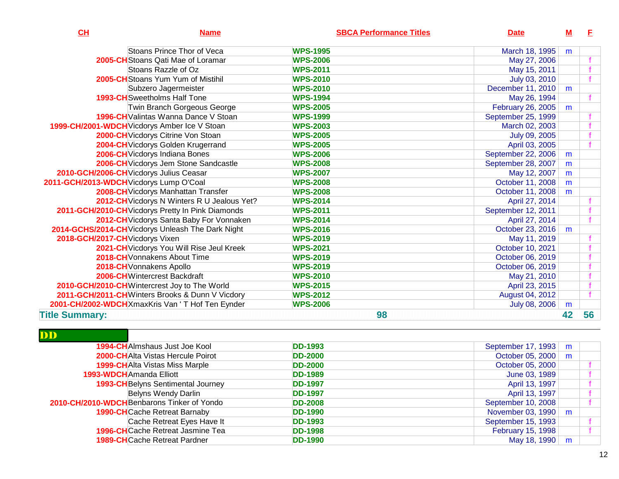| CH                                      | <b>Name</b>                                       | <b>SBCA Performance Titles</b> | <b>Date</b>        | $\underline{\mathsf{M}}$ | E  |
|-----------------------------------------|---------------------------------------------------|--------------------------------|--------------------|--------------------------|----|
|                                         | Stoans Prince Thor of Veca                        | <b>WPS-1995</b>                | March 18, 1995     | m                        |    |
|                                         | 2005-CH Stoans Qati Mae of Loramar                | <b>WPS-2006</b>                | May 27, 2006       |                          |    |
|                                         | Stoans Razzle of Oz                               | <b>WPS-2011</b>                | May 15, 2011       |                          |    |
|                                         | <b>2005-CH</b> Stoans Yum Yum of Mistihil         | <b>WPS-2010</b>                | July 03, 2010      |                          |    |
|                                         | Subzero Jagermeister                              | <b>WPS-2010</b>                | December 11, 2010  | m                        |    |
|                                         | <b>1993-CH</b> Sweetholms Half Tone               | <b>WPS-1994</b>                | May 26, 1994       |                          |    |
|                                         | Twin Branch Gorgeous George                       | <b>WPS-2005</b>                | February 26, 2005  | m                        |    |
|                                         | 1996-CH Valintas Wanna Dance V Stoan              | <b>WPS-1999</b>                | September 25, 1999 |                          |    |
|                                         | 1999-CH/2001-WDCH Vicdorys Amber Ice V Stoan      | <b>WPS-2003</b>                | March 02, 2003     |                          |    |
|                                         | 2000-CH Vicdorys Citrine Von Stoan                | <b>WPS-2005</b>                | July 09, 2005      |                          |    |
|                                         | 2004-CH Vicdorys Golden Krugerrand                | <b>WPS-2005</b>                | April 03, 2005     |                          |    |
|                                         | 2006-CH Vicdorys Indiana Bones                    | <b>WPS-2006</b>                | September 22, 2006 | m                        |    |
|                                         | 2006-CH Vicdorys Jem Stone Sandcastle             | <b>WPS-2008</b>                | September 28, 2007 | m                        |    |
|                                         | 2010-GCH/2006-CH Vicdorys Julius Ceasar           | <b>WPS-2007</b>                | May 12, 2007       | m                        |    |
| 2011-GCH/2013-WDCH Vicdorys Lump O'Coal |                                                   | <b>WPS-2008</b>                | October 11, 2008   | m                        |    |
|                                         | 2008-CH Vicdorys Manhattan Transfer               | <b>WPS-2008</b>                | October 11, 2008   | m                        |    |
|                                         | 2012-CH Vicdorys N Winters R U Jealous Yet?       | <b>WPS-2014</b>                | April 27, 2014     |                          |    |
|                                         | 2011-GCH/2010-CH Vicdorys Pretty In Pink Diamonds | <b>WPS-2011</b>                | September 12, 2011 |                          |    |
|                                         | 2012-CH Vicdorys Santa Baby For Vonnaken          | <b>WPS-2014</b>                | April 27, 2014     |                          |    |
|                                         | 2014-GCHS/2014-CH Vicdorys Unleash The Dark Night | <b>WPS-2016</b>                | October 23, 2016   | m                        |    |
| 2018-GCH/2017-CH Vicdorys Vixen         |                                                   | <b>WPS-2019</b>                | May 11, 2019       |                          |    |
|                                         | 2021-CH Vicdorys You Will Rise Jeul Kreek         | <b>WPS-2021</b>                | October 10, 2021   |                          |    |
|                                         | 2018-CH Vonnakens About Time                      | <b>WPS-2019</b>                | October 06, 2019   |                          |    |
|                                         | 2018-CH Vonnakens Apollo                          | <b>WPS-2019</b>                | October 06, 2019   |                          |    |
|                                         | 2006-CHWintercrest Backdraft                      | <b>WPS-2010</b>                | May 21, 2010       |                          |    |
|                                         | 2010-GCH/2010-CH Wintercrest Joy to The World     | <b>WPS-2015</b>                | April 23, 2015     |                          |    |
|                                         | 2011-GCH/2011-CHWinters Brooks & Dunn V Vicdory   | <b>WPS-2012</b>                | August 04, 2012    |                          |    |
|                                         | 2001-CH/2002-WDCH XmaxKris Van ' T Hof Ten Eynder | <b>WPS-2006</b>                | July 08, 2006      | m                        |    |
| <b>Title Summary:</b>                   |                                                   | 98                             |                    | 42                       | 56 |

| ,,,,,, |                                            |                |                    |   |  |
|--------|--------------------------------------------|----------------|--------------------|---|--|
|        | <b>1994-CH</b> Almshaus Just Joe Kool      | <b>DD-1993</b> | September 17, 1993 | m |  |
|        | <b>2000-CH</b> Alta Vistas Hercule Poirot  | <b>DD-2000</b> | October 05, 2000   | m |  |
|        | <b>1999-CH</b> Alta Vistas Miss Marple     | <b>DD-2000</b> | October 05, 2000   |   |  |
|        | 1993-WDCHAmanda Elliott                    | <b>DD-1989</b> | June 03, 1989      |   |  |
|        | <b>1993-CH</b> Belyns Sentimental Journey  | <b>DD-1997</b> | April 13, 1997     |   |  |
|        | Belyns Wendy Darlin                        | <b>DD-1997</b> | April 13, 1997     |   |  |
|        | 2010-CH/2010-WDCHBenbarons Tinker of Yondo | <b>DD-2008</b> | September 10, 2008 |   |  |
|        | <b>1990-CH</b> Cache Retreat Barnaby       | <b>DD-1990</b> | November 03, 1990  | m |  |
|        | Cache Retreat Eyes Have It                 | <b>DD-1993</b> | September 15, 1993 |   |  |
|        | <b>1996-CH</b> Cache Retreat Jasmine Tea   | <b>DD-1998</b> | February 15, 1998  |   |  |
|        | <b>1989-CH</b> Cache Retreat Pardner       | <b>DD-1990</b> | May 18, 1990       | m |  |
|        |                                            |                |                    |   |  |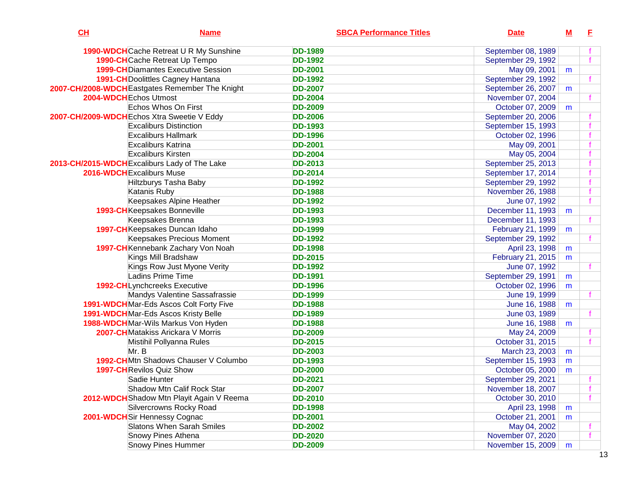| CH | <b>Name</b>                                     | <b>SBCA Performance Titles</b> | <b>Date</b>        | $\underline{\mathbf{M}}$ | E. |
|----|-------------------------------------------------|--------------------------------|--------------------|--------------------------|----|
|    | 1990-WDCH Cache Retreat U R My Sunshine         | <b>DD-1989</b>                 | September 08, 1989 |                          |    |
|    | 1990-CHCache Retreat Up Tempo                   | <b>DD-1992</b>                 | September 29, 1992 |                          |    |
|    | <b>1999-CH</b> Diamantes Executive Session      | <b>DD-2001</b>                 | May 09, 2001       | m                        |    |
|    | <b>1991-CH</b> Doolittles Cagney Hantana        | <b>DD-1992</b>                 | September 29, 1992 |                          |    |
|    | 2007-CH/2008-WDCH Eastgates Remember The Knight | <b>DD-2007</b>                 | September 26, 2007 | m                        |    |
|    | 2004-WDCH Echos Utmost                          | <b>DD-2004</b>                 | November 07, 2004  |                          |    |
|    | Echos Whos On First                             | <b>DD-2009</b>                 | October 07, 2009   | m                        |    |
|    | 2007-CH/2009-WDCH Echos Xtra Sweetie V Eddy     | <b>DD-2006</b>                 | September 20, 2006 |                          |    |
|    | <b>Excaliburs Distinction</b>                   | <b>DD-1993</b>                 | September 15, 1993 |                          |    |
|    | <b>Excaliburs Hallmark</b>                      | <b>DD-1996</b>                 | October 02, 1996   |                          |    |
|    | <b>Excaliburs Katrina</b>                       | <b>DD-2001</b>                 | May 09, 2001       |                          |    |
|    | <b>Excaliburs Kirsten</b>                       | <b>DD-2004</b>                 | May 05, 2004       |                          |    |
|    | 2013-CH/2015-WDCH Excaliburs Lady of The Lake   | <b>DD-2013</b>                 | September 25, 2013 |                          |    |
|    | 2016-WDCH Excaliburs Muse                       | <b>DD-2014</b>                 | September 17, 2014 |                          |    |
|    | <b>Hiltzburys Tasha Baby</b>                    | <b>DD-1992</b>                 | September 29, 1992 |                          |    |
|    | Katanis Ruby                                    | <b>DD-1988</b>                 | November 26, 1988  |                          |    |
|    | Keepsakes Alpine Heather                        | <b>DD-1992</b>                 | June 07, 1992      |                          |    |
|    | 1993-CHKeepsakes Bonneville                     | <b>DD-1993</b>                 | December 11, 1993  | m                        |    |
|    | Keepsakes Brenna                                | <b>DD-1993</b>                 | December 11, 1993  |                          |    |
|    | 1997-CHKeepsakes Duncan Idaho                   | <b>DD-1999</b>                 | February 21, 1999  | m                        |    |
|    | <b>Keepsakes Precious Moment</b>                | <b>DD-1992</b>                 | September 29, 1992 |                          |    |
|    | 1997-CH Kennebank Zachary Von Noah              | <b>DD-1998</b>                 | April 23, 1998     | m                        |    |
|    | Kings Mill Bradshaw                             | <b>DD-2015</b>                 | February 21, 2015  | m                        |    |
|    | Kings Row Just Myone Verity                     | <b>DD-1992</b>                 | June 07, 1992      |                          |    |
|    | <b>Ladins Prime Time</b>                        | <b>DD-1991</b>                 | September 29, 1991 | m                        |    |
|    | <b>1992-CHLynchcreeks Executive</b>             | <b>DD-1996</b>                 | October 02, 1996   | m                        |    |
|    | Mandys Valentine Sassafrassie                   | <b>DD-1999</b>                 | June 19, 1999      |                          |    |
|    | 1991-WDCHMar-Eds Ascos Colt Forty Five          | <b>DD-1988</b>                 | June 16, 1988      | m                        |    |
|    | 1991-WDCH Mar-Eds Ascos Kristy Belle            | <b>DD-1989</b>                 | June 03, 1989      |                          |    |
|    | 1988-WDCHMar-Wils Markus Von Hyden              | <b>DD-1988</b>                 | June 16, 1988      | m                        |    |
|    | 2007-CH Matakiss Arickara V Morris              | <b>DD-2009</b>                 | May 24, 2009       |                          |    |
|    | Mistihil Pollyanna Rules                        | <b>DD-2015</b>                 | October 31, 2015   |                          |    |
|    | Mr. B                                           | <b>DD-2003</b>                 | March 23, 2003     | m                        |    |
|    | 1992-CHMtn Shadows Chauser V Columbo            | <b>DD-1993</b>                 | September 15, 1993 | m                        |    |
|    | <b>1997-CH</b> Revilos Quiz Show                | <b>DD-2000</b>                 | October 05, 2000   | m                        |    |
|    | Sadie Hunter                                    | <b>DD-2021</b>                 | September 29, 2021 |                          |    |
|    | Shadow Mtn Calif Rock Star                      | <b>DD-2007</b>                 | November 18, 2007  |                          |    |
|    | 2012-WDCH Shadow Mtn Playit Again V Reema       | <b>DD-2010</b>                 | October 30, 2010   |                          |    |
|    | Silvercrowns Rocky Road                         | <b>DD-1998</b>                 | April 23, 1998     | m                        |    |
|    | 2001-WDCHSir Hennessy Cognac                    | <b>DD-2001</b>                 | October 21, 2001   | m                        |    |
|    | <b>Slatons When Sarah Smiles</b>                | <b>DD-2002</b>                 | May 04, 2002       |                          |    |
|    | Snowy Pines Athena                              | <b>DD-2020</b>                 | November 07, 2020  |                          |    |
|    | <b>Snowy Pines Hummer</b>                       | <b>DD-2009</b>                 | November 15, 2009  | m                        |    |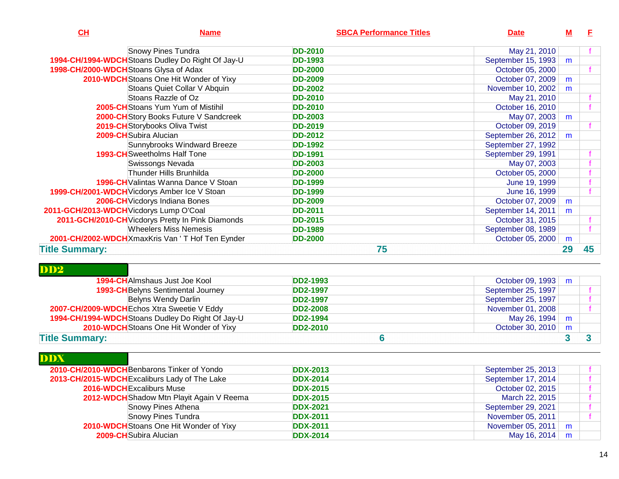| CH                                           | <b>Name</b>                                       | <b>SBCA Performance Titles</b> | <b>Date</b>        | <u>M</u> | E  |
|----------------------------------------------|---------------------------------------------------|--------------------------------|--------------------|----------|----|
|                                              | <b>Snowy Pines Tundra</b>                         | <b>DD-2010</b>                 | May 21, 2010       |          |    |
|                                              | 1994-CH/1994-WDCH Stoans Dudley Do Right Of Jay-U | <b>DD-1993</b>                 | September 15, 1993 | m        |    |
| 1998-CH/2000-WDCHStoans Glysa of Adax        |                                                   | <b>DD-2000</b>                 | October 05, 2000   |          |    |
|                                              | 2010-WDCH Stoans One Hit Wonder of Yixy           | <b>DD-2009</b>                 | October 07, 2009   | m        |    |
|                                              | Stoans Quiet Collar V Abquin                      | <b>DD-2002</b>                 | November 10, 2002  | m        |    |
|                                              | Stoans Razzle of Oz                               | <b>DD-2010</b>                 | May 21, 2010       |          |    |
|                                              | <b>2005-CH</b> Stoans Yum Yum of Mistihil         | <b>DD-2010</b>                 | October 16, 2010   |          |    |
|                                              | 2000-CH Story Books Future V Sandcreek            | <b>DD-2003</b>                 | May 07, 2003       | m        |    |
|                                              | 2019-CH Storybooks Oliva Twist                    | <b>DD-2019</b>                 | October 09, 2019   |          |    |
| <b>2009-CH</b> Subira Alucian                |                                                   | <b>DD-2012</b>                 | September 26, 2012 | m        |    |
|                                              | Sunnybrooks Windward Breeze                       | <b>DD-1992</b>                 | September 27, 1992 |          |    |
|                                              | <b>1993-CH</b> Sweetholms Half Tone               | <b>DD-1991</b>                 | September 29, 1991 |          |    |
|                                              | Swissongs Nevada                                  | <b>DD-2003</b>                 | May 07, 2003       |          |    |
|                                              | Thunder Hills Brunhilda                           | <b>DD-2000</b>                 | October 05, 2000   |          |    |
|                                              | <b>1996-CH</b> Valintas Wanna Dance V Stoan       | <b>DD-1999</b>                 | June 19, 1999      |          |    |
| 1999-CH/2001-WDCH Vicdorys Amber Ice V Stoan |                                                   | <b>DD-1999</b>                 | June 16, 1999      |          |    |
|                                              | 2006-CH Vicdorys Indiana Bones                    | <b>DD-2009</b>                 | October 07, 2009   | m        |    |
| 2011-GCH/2013-WDCH Vicdorys Lump O'Coal      |                                                   | <b>DD-2011</b>                 | September 14, 2011 | m        |    |
|                                              | 2011-GCH/2010-CH Vicdorys Pretty In Pink Diamonds | <b>DD-2015</b>                 | October 31, 2015   |          |    |
|                                              | <b>Wheelers Miss Nemesis</b>                      | <b>DD-1989</b>                 | September 08, 1989 |          |    |
|                                              | 2001-CH/2002-WDCHXmaxKris Van 'T Hof Ten Eynder   | <b>DD-2000</b>                 | October 05, 2000   | m        |    |
| <b>Title Summary:</b>                        |                                                   | 75                             |                    | 29       | 45 |

| DD <sub>2</sub>                                   |                 |                      |   |  |
|---------------------------------------------------|-----------------|----------------------|---|--|
| <b>1994-CH</b> Almshaus Just Joe Kool             | <b>DD2-1993</b> | October 09, 1993   m |   |  |
| <b>1993-CH</b> Belyns Sentimental Journey         | <b>DD2-1997</b> | September 25, 1997   |   |  |
| Belyns Wendy Darlin                               | <b>DD2-1997</b> | September 25, 1997   |   |  |
| 2007-CH/2009-WDCH Echos Xtra Sweetie V Eddy       | <b>DD2-2008</b> | November 01, 2008    |   |  |
| 1994-CH/1994-WDCH Stoans Dudley Do Right Of Jay-U | <b>DD2-1994</b> | May 26, 1994         | m |  |
| 2010-WDCH Stoans One Hit Wonder of Yixy           | <b>DD2-2010</b> | October 30, 2010   m |   |  |
| <b>Title Summary:</b>                             |                 |                      |   |  |

| <b>DDX</b> |                                               |                 |                        |  |
|------------|-----------------------------------------------|-----------------|------------------------|--|
|            | 2010-CH/2010-WDCHBenbarons Tinker of Yondo    | <b>DDX-2013</b> | September 25, 2013     |  |
|            | 2013-CH/2015-WDCH Excaliburs Lady of The Lake | <b>DDX-2014</b> | September 17, 2014     |  |
|            | <b>2016-WDCH</b> Excaliburs Muse              | <b>DDX-2015</b> | October 02, 2015       |  |
|            | 2012-WDCH Shadow Mtn Playit Again V Reema     | <b>DDX-2015</b> | March 22, 2015         |  |
|            | Snowy Pines Athena                            | <b>DDX-2021</b> | September 29, 2021     |  |
|            | <b>Snowy Pines Tundra</b>                     | <b>DDX-2011</b> | November 05, 2011      |  |
|            | 2010-WDCH Stoans One Hit Wonder of Yixy       | <b>DDX-2011</b> | November 05, 2011<br>m |  |
|            | 2009-CHSubira Alucian                         | <b>DDX-2014</b> | May 16, 2014<br>m      |  |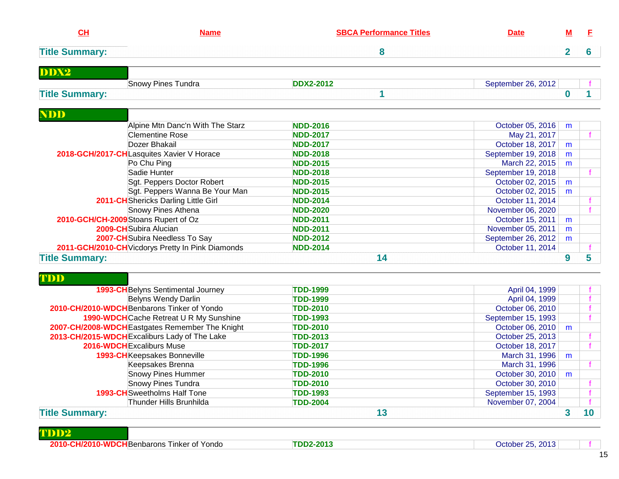| CH                    | <b>Name</b>                                       | <b>SBCA Performance Titles</b> | <b>Date</b>        | м              | E            |
|-----------------------|---------------------------------------------------|--------------------------------|--------------------|----------------|--------------|
| <b>Title Summary:</b> |                                                   | 8                              |                    | $\overline{2}$ | 6            |
| DDX2                  |                                                   |                                |                    |                |              |
| <b>Title Summary:</b> | Snowy Pines Tundra                                | <b>DDX2-2012</b><br>1          | September 26, 2012 | 0              | 1            |
| <b>NDD</b>            |                                                   |                                |                    |                |              |
|                       | Alpine Mtn Danc'n With The Starz                  | <b>NDD-2016</b>                | October 05, 2016   | m              |              |
|                       | <b>Clementine Rose</b>                            | <b>NDD-2017</b>                | May 21, 2017       |                |              |
|                       | Dozer Bhakail                                     | <b>NDD-2017</b>                | October 18, 2017   | m              |              |
|                       | 2018-GCH/2017-CHLasquites Xavier V Horace         | <b>NDD-2018</b>                | September 19, 2018 | m              |              |
|                       | Po Chu Ping                                       | <b>NDD-2015</b>                | March 22, 2015     | m              |              |
|                       | Sadie Hunter                                      | <b>NDD-2018</b>                | September 19, 2018 |                | f.           |
|                       | Sgt. Peppers Doctor Robert                        | <b>NDD-2015</b>                | October 02, 2015   | m              |              |
|                       | Sgt. Peppers Wanna Be Your Man                    | <b>NDD-2015</b>                | October 02, 2015   | m              |              |
|                       | 2011-CH Shericks Darling Little Girl              | <b>NDD-2014</b>                | October 11, 2014   |                |              |
|                       | Snowy Pines Athena                                | <b>NDD-2020</b>                | November 06, 2020  |                | $\mathbf{f}$ |
|                       | 2010-GCH/CH-2009 Stoans Rupert of Oz              | <b>NDD-2011</b>                | October 15, 2011   | m              |              |
|                       | 2009-CH Subira Alucian                            | <b>NDD-2011</b>                | November 05, 2011  | m              |              |
|                       | 2007-CH Subira Needless To Say                    | <b>NDD-2012</b>                | September 26, 2012 | m              |              |
|                       | 2011-GCH/2010-CH Vicdorys Pretty In Pink Diamonds | <b>NDD-2014</b>                | October 11, 2014   |                |              |
| <b>Title Summary:</b> |                                                   | 14                             |                    | 9              | 5            |
| TDD                   |                                                   |                                |                    |                |              |
|                       | 1993-CH Belyns Sentimental Journey                | <b>TDD-1999</b>                | April 04, 1999     |                |              |
|                       | <b>Belyns Wendy Darlin</b>                        | <b>TDD-1999</b>                | April 04, 1999     |                |              |
|                       | 2010-CH/2010-WDCH Benbarons Tinker of Yondo       | <b>TDD-2010</b>                | October 06, 2010   |                |              |
|                       | 1990-WDCH Cache Retreat U R My Sunshine           | <b>TDD-1993</b>                | September 15, 1993 |                |              |
|                       | 2007-CH/2008-WDCH Eastgates Remember The Knight   | <b>TDD-2010</b>                | October 06, 2010   | m              |              |
|                       | 2013-CH/2015-WDCH Excaliburs Lady of The Lake     | <b>TDD-2013</b>                | October 25, 2013   |                |              |
|                       | 2016-WDCH Excaliburs Muse                         | <b>TDD-2017</b>                | October 18, 2017   |                | $\mathbf{f}$ |
|                       | 1993-CHKeepsakes Bonneville                       | <b>TDD-1996</b>                | March 31, 1996     | m              |              |
|                       | Keepsakes Brenna                                  | <b>TDD-1996</b>                | March 31, 1996     |                |              |
|                       | <b>Snowy Pines Hummer</b>                         | <b>TDD-2010</b>                | October 30, 2010   | m              |              |
|                       | <b>Snowy Pines Tundra</b>                         | <b>TDD-2010</b>                | October 30, 2010   |                |              |
|                       | <b>1993-CH</b> Sweetholms Half Tone               | <b>TDD-1993</b>                | September 15, 1993 |                |              |
|                       | Thunder Hills Brunhilda                           | <b>TDD-2004</b>                | November 07, 2004  |                |              |

## **Title Summary:13 3 10**

| TDD |  |
|-----|--|
|-----|--|